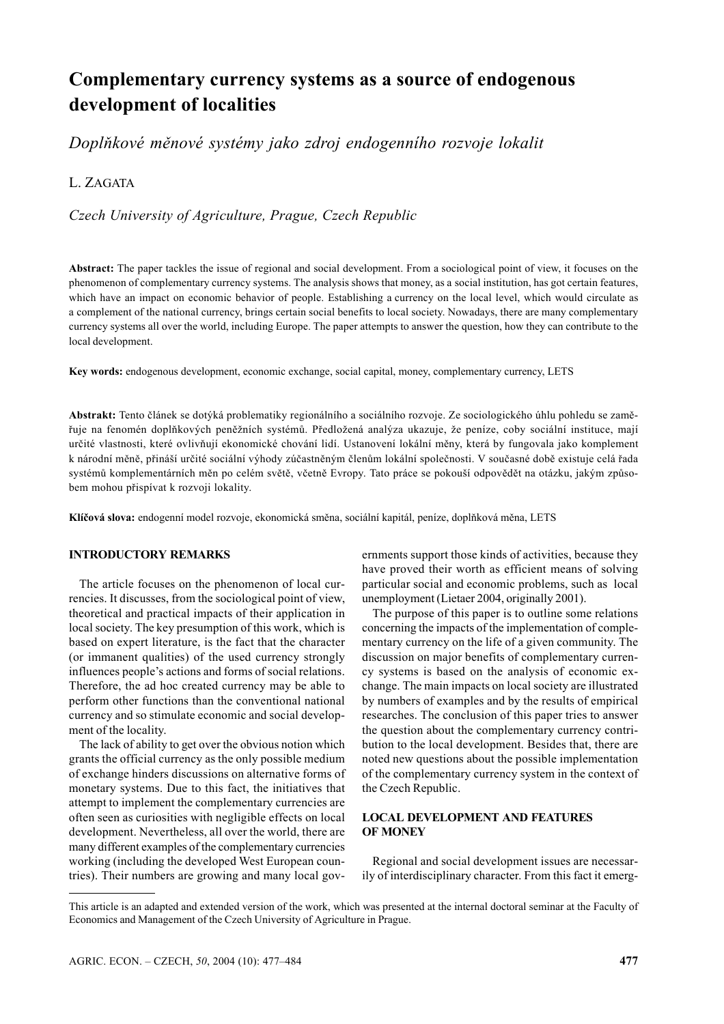# **Complementary currency systems as a source of endogenous development of localities**

*Doplňkové měnové systémy jako zdroj endogenního rozvoje lokalit*

L. ZAGATA

*Czech University of Agriculture, Prague, Czech Republic*

**Abstract:** The paper tackles the issue of regional and social development. From a sociological point of view, it focuses on the phenomenon of complementary currency systems. The analysis shows that money, as a social institution, has got certain features, which have an impact on economic behavior of people. Establishing a currency on the local level, which would circulate as a complement of the national currency, brings certain social benefits to local society. Nowadays, there are many complementary currency systems all over the world, including Europe. The paper attempts to answer the question, how they can contribute to the local development.

**Key words:** endogenous development, economic exchange, social capital, money, complementary currency, LETS

**Abstrakt:** Tento článek se dotýká problematiky regionálního a sociálního rozvoje. Ze sociologického úhlu pohledu se zaměřuje na fenomén doplňkových peněžních systémů. Předložená analýza ukazuje, že peníze, coby sociální instituce, mají určité vlastnosti, které ovlivňují ekonomické chování lidí. Ustanovení lokální měny, která by fungovala jako komplement k národní měně, přináší určité sociální výhody zúčastněným členům lokální společnosti. V současné době existuje celá řada systémů komplementárních měn po celém světě, včetně Evropy. Tato práce se pokouší odpovědět na otázku, jakým způsobem mohou přispívat k rozvoji lokality.

**Klíčová slova:** endogenní model rozvoje, ekonomická směna, sociální kapitál, peníze, doplňková měna, LETS

# **INTRODUCTORY REMARKS**

The article focuses on the phenomenon of local currencies. It discusses, from the sociological point of view, theoretical and practical impacts of their application in local society. The key presumption of this work, which is based on expert literature, is the fact that the character (or immanent qualities) of the used currency strongly influences people's actions and forms of social relations. Therefore, the ad hoc created currency may be able to perform other functions than the conventional national currency and so stimulate economic and social development of the locality.

The lack of ability to get over the obvious notion which grants the official currency as the only possible medium of exchange hinders discussions on alternative forms of monetary systems. Due to this fact, the initiatives that attempt to implement the complementary currencies are often seen as curiosities with negligible effects on local development. Nevertheless, all over the world, there are many different examples of the complementary currencies working (including the developed West European countries). Their numbers are growing and many local governments support those kinds of activities, because they have proved their worth as efficient means of solving particular social and economic problems, such as local unemployment (Lietaer 2004, originally 2001).

The purpose of this paper is to outline some relations concerning the impacts of the implementation of complementary currency on the life of a given community. The discussion on major benefits of complementary currency systems is based on the analysis of economic exchange. The main impacts on local society are illustrated by numbers of examples and by the results of empirical researches. The conclusion of this paper tries to answer the question about the complementary currency contribution to the local development. Besides that, there are noted new questions about the possible implementation of the complementary currency system in the context of the Czech Republic.

# **LOCAL DEVELOPMENT AND FEATURES OF MONEY**

Regional and social development issues are necessarily of interdisciplinary character. From this fact it emerg-

This article is an adapted and extended version of the work, which was presented at the internal doctoral seminar at the Faculty of Economics and Management of the Czech University of Agriculture in Prague.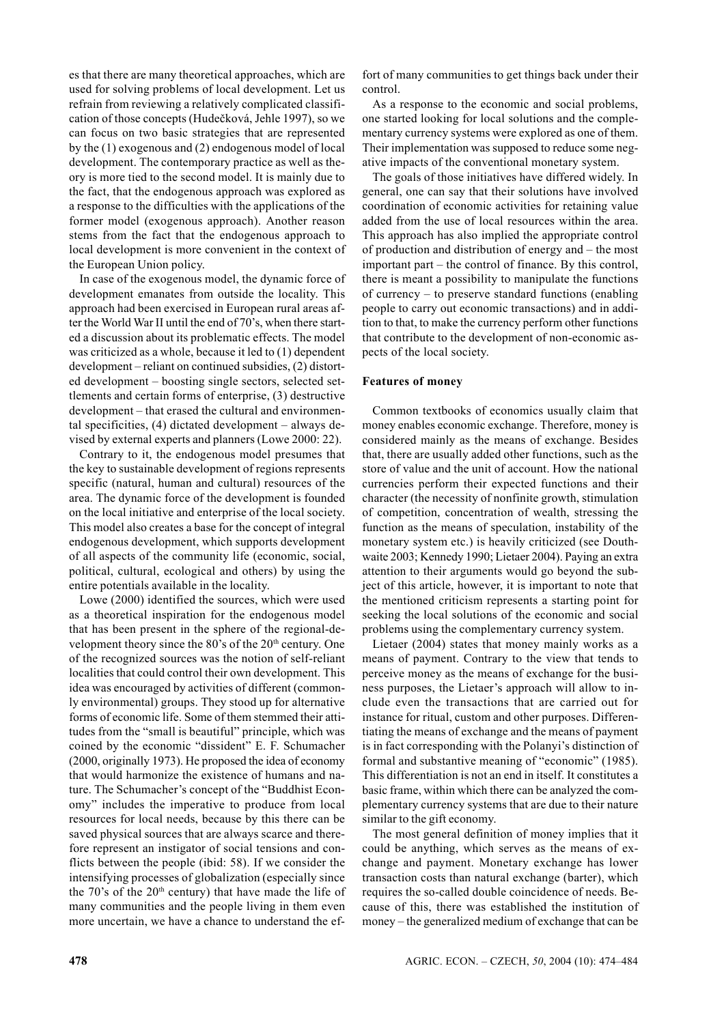es that there are many theoretical approaches, which are used for solving problems of local development. Let us refrain from reviewing a relatively complicated classification of those concepts (Hudečková, Jehle 1997), so we can focus on two basic strategies that are represented by the (1) exogenous and (2) endogenous model of local development. The contemporary practice as well as theory is more tied to the second model. It is mainly due to the fact, that the endogenous approach was explored as a response to the difficulties with the applications of the former model (exogenous approach). Another reason stems from the fact that the endogenous approach to local development is more convenient in the context of the European Union policy.

In case of the exogenous model, the dynamic force of development emanates from outside the locality. This approach had been exercised in European rural areas after the World War II until the end of 70's, when there started a discussion about its problematic effects. The model was criticized as a whole, because it led to (1) dependent development – reliant on continued subsidies, (2) distorted development – boosting single sectors, selected settlements and certain forms of enterprise, (3) destructive development – that erased the cultural and environmental specificities, (4) dictated development – always devised by external experts and planners (Lowe 2000: 22).

Contrary to it, the endogenous model presumes that the key to sustainable development of regions represents specific (natural, human and cultural) resources of the area. The dynamic force of the development is founded on the local initiative and enterprise of the local society. This model also creates a base for the concept of integral endogenous development, which supports development of all aspects of the community life (economic, social, political, cultural, ecological and others) by using the entire potentials available in the locality.

Lowe (2000) identified the sources, which were used as a theoretical inspiration for the endogenous model that has been present in the sphere of the regional-development theory since the 80's of the 20<sup>th</sup> century. One of the recognized sources was the notion of self-reliant localities that could control their own development. This idea was encouraged by activities of different (commonly environmental) groups. They stood up for alternative forms of economic life. Some of them stemmed their attitudes from the "small is beautiful" principle, which was coined by the economic "dissident" E. F. Schumacher (2000, originally 1973). He proposed the idea of economy that would harmonize the existence of humans and nature. The Schumacher's concept of the "Buddhist Economy" includes the imperative to produce from local resources for local needs, because by this there can be saved physical sources that are always scarce and therefore represent an instigator of social tensions and conflicts between the people (ibid: 58). If we consider the intensifying processes of globalization (especially since the 70's of the  $20<sup>th</sup>$  century) that have made the life of many communities and the people living in them even more uncertain, we have a chance to understand the effort of many communities to get things back under their control.

As a response to the economic and social problems, one started looking for local solutions and the complementary currency systems were explored as one of them. Their implementation was supposed to reduce some negative impacts of the conventional monetary system.

The goals of those initiatives have differed widely. In general, one can say that their solutions have involved coordination of economic activities for retaining value added from the use of local resources within the area. This approach has also implied the appropriate control of production and distribution of energy and – the most important part – the control of finance. By this control, there is meant a possibility to manipulate the functions of currency – to preserve standard functions (enabling people to carry out economic transactions) and in addition to that, to make the currency perform other functions that contribute to the development of non-economic aspects of the local society.

#### **Features of money**

Common textbooks of economics usually claim that money enables economic exchange. Therefore, money is considered mainly as the means of exchange. Besides that, there are usually added other functions, such as the store of value and the unit of account. How the national currencies perform their expected functions and their character (the necessity of nonfinite growth, stimulation of competition, concentration of wealth, stressing the function as the means of speculation, instability of the monetary system etc.) is heavily criticized (see Douthwaite 2003; Kennedy 1990; Lietaer 2004). Paying an extra attention to their arguments would go beyond the subject of this article, however, it is important to note that the mentioned criticism represents a starting point for seeking the local solutions of the economic and social problems using the complementary currency system.

Lietaer (2004) states that money mainly works as a means of payment. Contrary to the view that tends to perceive money as the means of exchange for the business purposes, the Lietaer's approach will allow to include even the transactions that are carried out for instance for ritual, custom and other purposes. Differentiating the means of exchange and the means of payment is in fact corresponding with the Polanyi's distinction of formal and substantive meaning of "economic" (1985). This differentiation is not an end in itself. It constitutes a basic frame, within which there can be analyzed the complementary currency systems that are due to their nature similar to the gift economy.

The most general definition of money implies that it could be anything, which serves as the means of exchange and payment. Monetary exchange has lower transaction costs than natural exchange (barter), which requires the so-called double coincidence of needs. Because of this, there was established the institution of money – the generalized medium of exchange that can be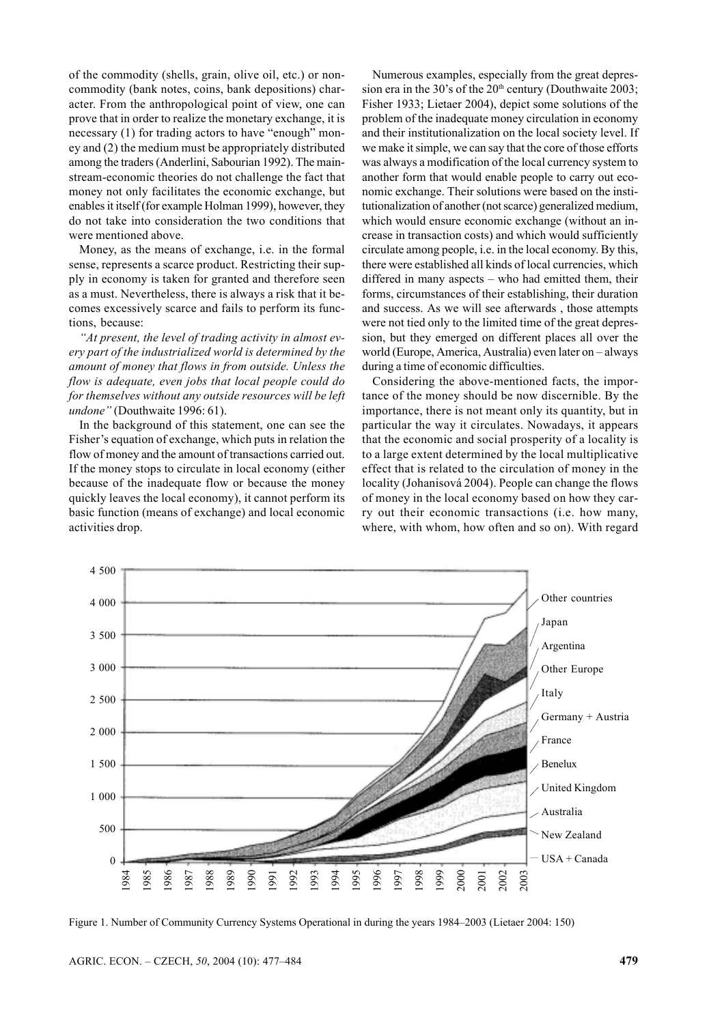of the commodity (shells, grain, olive oil, etc.) or noncommodity (bank notes, coins, bank depositions) character. From the anthropological point of view, one can prove that in order to realize the monetary exchange, it is necessary (1) for trading actors to have "enough" money and (2) the medium must be appropriately distributed among the traders (Anderlini, Sabourian 1992). The mainstream-economic theories do not challenge the fact that money not only facilitates the economic exchange, but enables it itself (for example Holman 1999), however, they do not take into consideration the two conditions that were mentioned above.

Money, as the means of exchange, i.e. in the formal sense, represents a scarce product. Restricting their supply in economy is taken for granted and therefore seen as a must. Nevertheless, there is always a risk that it becomes excessively scarce and fails to perform its functions, because:

*"At present, the level of trading activity in almost every part of the industrialized world is determined by the amount of money that flows in from outside. Unless the flow is adequate, even jobs that local people could do for themselves without any outside resources will be left undone"* (Douthwaite 1996: 61).

In the background of this statement, one can see the Fisher's equation of exchange, which puts in relation the flow of money and the amount of transactions carried out. If the money stops to circulate in local economy (either because of the inadequate flow or because the money quickly leaves the local economy), it cannot perform its basic function (means of exchange) and local economic activities drop.

Numerous examples, especially from the great depression era in the 30's of the  $20<sup>th</sup>$  century (Douthwaite 2003; Fisher 1933; Lietaer 2004), depict some solutions of the problem of the inadequate money circulation in economy and their institutionalization on the local society level. If we make it simple, we can say that the core of those efforts was always a modification of the local currency system to another form that would enable people to carry out economic exchange. Their solutions were based on the institutionalization of another (not scarce) generalized medium, which would ensure economic exchange (without an increase in transaction costs) and which would sufficiently circulate among people, i.e. in the local economy. By this, there were established all kinds of local currencies, which differed in many aspects – who had emitted them, their forms, circumstances of their establishing, their duration and success. As we will see afterwards , those attempts were not tied only to the limited time of the great depression, but they emerged on different places all over the world (Europe, America, Australia) even later on – always during a time of economic difficulties.

Considering the above-mentioned facts, the importance of the money should be now discernible. By the importance, there is not meant only its quantity, but in particular the way it circulates. Nowadays, it appears that the economic and social prosperity of a locality is to a large extent determined by the local multiplicative effect that is related to the circulation of money in the locality (Johanisová 2004). People can change the flows of money in the local economy based on how they carry out their economic transactions (i.e. how many, where, with whom, how often and so on). With regard



Figure 1. Number of Community Currency Systems Operational in during the years 1984–2003 (Lietaer 2004: 150)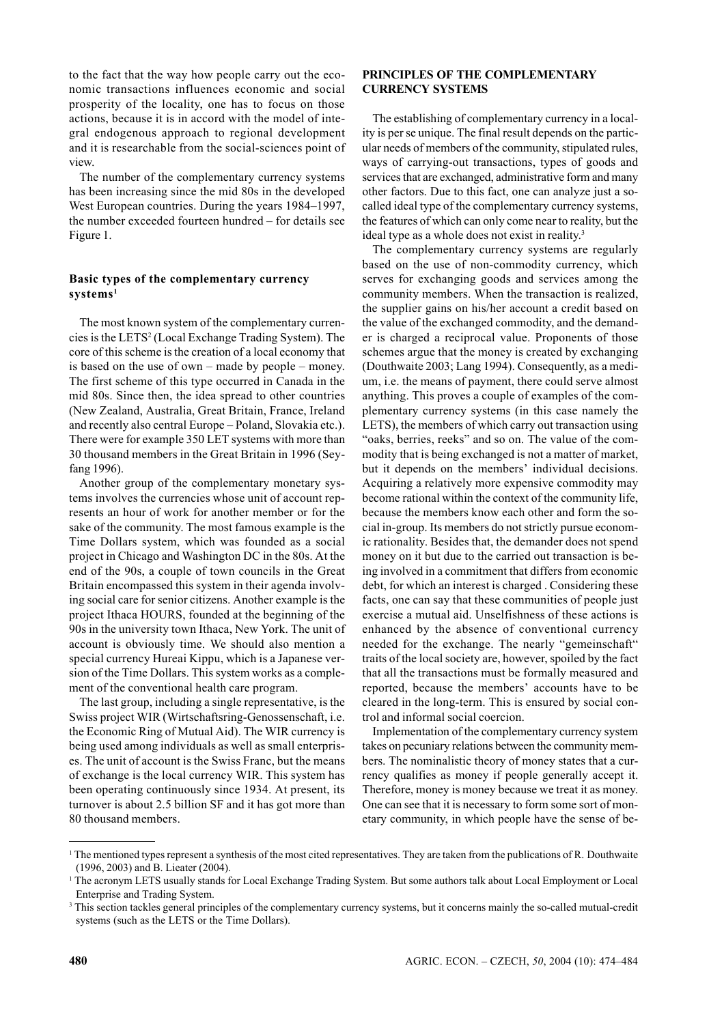to the fact that the way how people carry out the economic transactions influences economic and social prosperity of the locality, one has to focus on those actions, because it is in accord with the model of integral endogenous approach to regional development and it is researchable from the social-sciences point of view.

The number of the complementary currency systems has been increasing since the mid 80s in the developed West European countries. During the years 1984–1997, the number exceeded fourteen hundred – for details see Figure 1.

## **Basic types of the complementary currency systems1**

The most known system of the complementary currencies is the LETS<sup>2</sup> (Local Exchange Trading System). The core of this scheme is the creation of a local economy that is based on the use of own – made by people – money. The first scheme of this type occurred in Canada in the mid 80s. Since then, the idea spread to other countries (New Zealand, Australia, Great Britain, France, Ireland and recently also central Europe – Poland, Slovakia etc.). There were for example 350 LET systems with more than 30 thousand members in the Great Britain in 1996 (Seyfang 1996).

Another group of the complementary monetary systems involves the currencies whose unit of account represents an hour of work for another member or for the sake of the community. The most famous example is the Time Dollars system, which was founded as a social project in Chicago and Washington DC in the 80s. At the end of the 90s, a couple of town councils in the Great Britain encompassed this system in their agenda involving social care for senior citizens. Another example is the project Ithaca HOURS, founded at the beginning of the 90s in the university town Ithaca, New York. The unit of account is obviously time. We should also mention a special currency Hureai Kippu, which is a Japanese version of the Time Dollars. This system works as a complement of the conventional health care program.

The last group, including a single representative, is the Swiss project WIR (Wirtschaftsring-Genossenschaft, i.e. the Economic Ring of Mutual Aid). The WIR currency is being used among individuals as well as small enterprises. The unit of account is the Swiss Franc, but the means of exchange is the local currency WIR. This system has been operating continuously since 1934. At present, its turnover is about 2.5 billion SF and it has got more than 80 thousand members.

# **PRINCIPLES OF THE COMPLEMENTARY CURRENCY SYSTEMS**

The establishing of complementary currency in a locality is per se unique. The final result depends on the particular needs of members of the community, stipulated rules, ways of carrying-out transactions, types of goods and services that are exchanged, administrative form and many other factors. Due to this fact, one can analyze just a socalled ideal type of the complementary currency systems, the features of which can only come near to reality, but the ideal type as a whole does not exist in reality.<sup>3</sup>

The complementary currency systems are regularly based on the use of non-commodity currency, which serves for exchanging goods and services among the community members. When the transaction is realized, the supplier gains on his/her account a credit based on the value of the exchanged commodity, and the demander is charged a reciprocal value. Proponents of those schemes argue that the money is created by exchanging (Douthwaite 2003; Lang 1994). Consequently, as a medium, i.e. the means of payment, there could serve almost anything. This proves a couple of examples of the complementary currency systems (in this case namely the LETS), the members of which carry out transaction using "oaks, berries, reeks" and so on. The value of the commodity that is being exchanged is not a matter of market, but it depends on the members' individual decisions. Acquiring a relatively more expensive commodity may become rational within the context of the community life, because the members know each other and form the social in-group. Its members do not strictly pursue economic rationality. Besides that, the demander does not spend money on it but due to the carried out transaction is being involved in a commitment that differs from economic debt, for which an interest is charged . Considering these facts, one can say that these communities of people just exercise a mutual aid. Unselfishness of these actions is enhanced by the absence of conventional currency needed for the exchange. The nearly "gemeinschaft" traits of the local society are, however, spoiled by the fact that all the transactions must be formally measured and reported, because the members' accounts have to be cleared in the long-term. This is ensured by social control and informal social coercion.

Implementation of the complementary currency system takes on pecuniary relations between the community members. The nominalistic theory of money states that a currency qualifies as money if people generally accept it. Therefore, money is money because we treat it as money. One can see that it is necessary to form some sort of monetary community, in which people have the sense of be-

<sup>1</sup> The mentioned types represent a synthesis of the most cited representatives. They are taken from the publications of R. Douthwaite (1996, 2003) and B. Lieater (2004).

<sup>1</sup> The acronym LETS usually stands for Local Exchange Trading System. But some authors talk about Local Employment or Local Enterprise and Trading System.

<sup>&</sup>lt;sup>3</sup> This section tackles general principles of the complementary currency systems, but it concerns mainly the so-called mutual-credit systems (such as the LETS or the Time Dollars).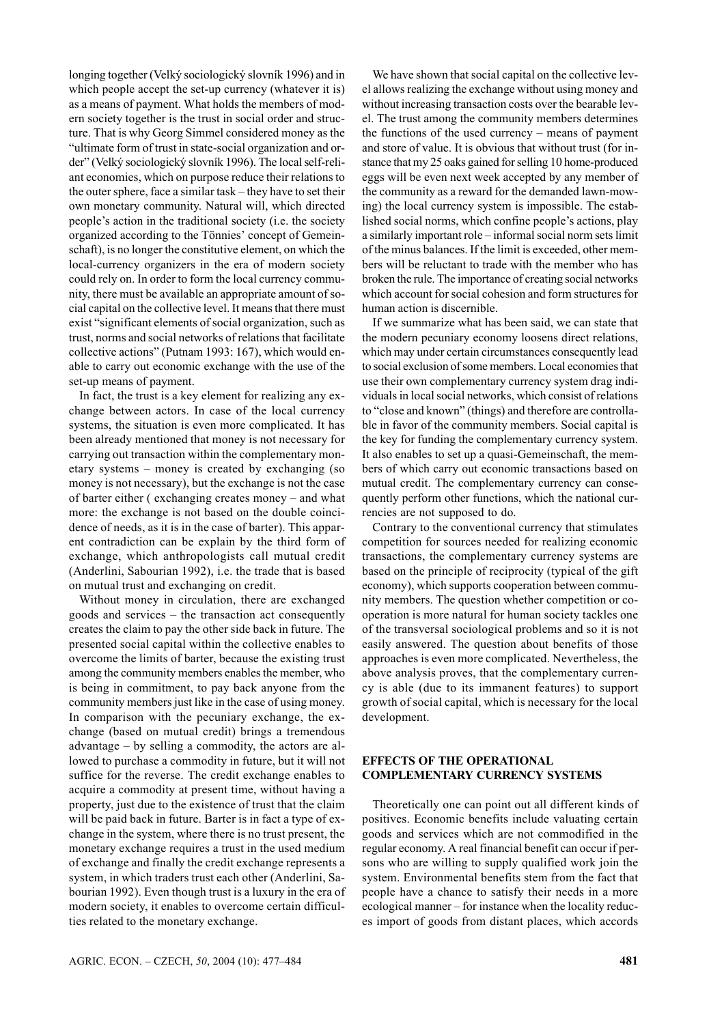longing together (Velký sociologický slovník 1996) and in which people accept the set-up currency (whatever it is) as a means of payment. What holds the members of modern society together is the trust in social order and structure. That is why Georg Simmel considered money as the "ultimate form of trust in state-social organization and order" (Velký sociologický slovník 1996). The local self-reliant economies, which on purpose reduce their relations to the outer sphere, face a similar task – they have to set their own monetary community. Natural will, which directed people's action in the traditional society (i.e. the society organized according to the Tönnies' concept of Gemeinschaft), is no longer the constitutive element, on which the local-currency organizers in the era of modern society could rely on. In order to form the local currency community, there must be available an appropriate amount of social capital on the collective level. It means that there must exist "significant elements of social organization, such as trust, norms and social networks of relations that facilitate collective actions" (Putnam 1993: 167), which would enable to carry out economic exchange with the use of the set-up means of payment.

In fact, the trust is a key element for realizing any exchange between actors. In case of the local currency systems, the situation is even more complicated. It has been already mentioned that money is not necessary for carrying out transaction within the complementary monetary systems – money is created by exchanging (so money is not necessary), but the exchange is not the case of barter either ( exchanging creates money – and what more: the exchange is not based on the double coincidence of needs, as it is in the case of barter). This apparent contradiction can be explain by the third form of exchange, which anthropologists call mutual credit (Anderlini, Sabourian 1992), i.e. the trade that is based on mutual trust and exchanging on credit.

Without money in circulation, there are exchanged goods and services – the transaction act consequently creates the claim to pay the other side back in future. The presented social capital within the collective enables to overcome the limits of barter, because the existing trust among the community members enables the member, who is being in commitment, to pay back anyone from the community members just like in the case of using money. In comparison with the pecuniary exchange, the exchange (based on mutual credit) brings a tremendous advantage – by selling a commodity, the actors are allowed to purchase a commodity in future, but it will not suffice for the reverse. The credit exchange enables to acquire a commodity at present time, without having a property, just due to the existence of trust that the claim will be paid back in future. Barter is in fact a type of exchange in the system, where there is no trust present, the monetary exchange requires a trust in the used medium of exchange and finally the credit exchange represents a system, in which traders trust each other (Anderlini, Sabourian 1992). Even though trust is a luxury in the era of modern society, it enables to overcome certain difficulties related to the monetary exchange.

We have shown that social capital on the collective level allows realizing the exchange without using money and without increasing transaction costs over the bearable level. The trust among the community members determines the functions of the used currency – means of payment and store of value. It is obvious that without trust (for instance that my 25 oaks gained for selling 10 home-produced eggs will be even next week accepted by any member of the community as a reward for the demanded lawn-mowing) the local currency system is impossible. The established social norms, which confine people's actions, play a similarly important role – informal social norm sets limit of the minus balances. If the limit is exceeded, other members will be reluctant to trade with the member who has broken the rule. The importance of creating social networks which account for social cohesion and form structures for human action is discernible.

If we summarize what has been said, we can state that the modern pecuniary economy loosens direct relations, which may under certain circumstances consequently lead to social exclusion of some members. Local economies that use their own complementary currency system drag individuals in local social networks, which consist of relations to "close and known" (things) and therefore are controllable in favor of the community members. Social capital is the key for funding the complementary currency system. It also enables to set up a quasi-Gemeinschaft, the members of which carry out economic transactions based on mutual credit. The complementary currency can consequently perform other functions, which the national currencies are not supposed to do.

Contrary to the conventional currency that stimulates competition for sources needed for realizing economic transactions, the complementary currency systems are based on the principle of reciprocity (typical of the gift economy), which supports cooperation between community members. The question whether competition or cooperation is more natural for human society tackles one of the transversal sociological problems and so it is not easily answered. The question about benefits of those approaches is even more complicated. Nevertheless, the above analysis proves, that the complementary currency is able (due to its immanent features) to support growth of social capital, which is necessary for the local development.

## **EFFECTS OF THE OPERATIONAL COMPLEMENTARY CURRENCY SYSTEMS**

Theoretically one can point out all different kinds of positives. Economic benefits include valuating certain goods and services which are not commodified in the regular economy. A real financial benefit can occur if persons who are willing to supply qualified work join the system. Environmental benefits stem from the fact that people have a chance to satisfy their needs in a more ecological manner – for instance when the locality reduces import of goods from distant places, which accords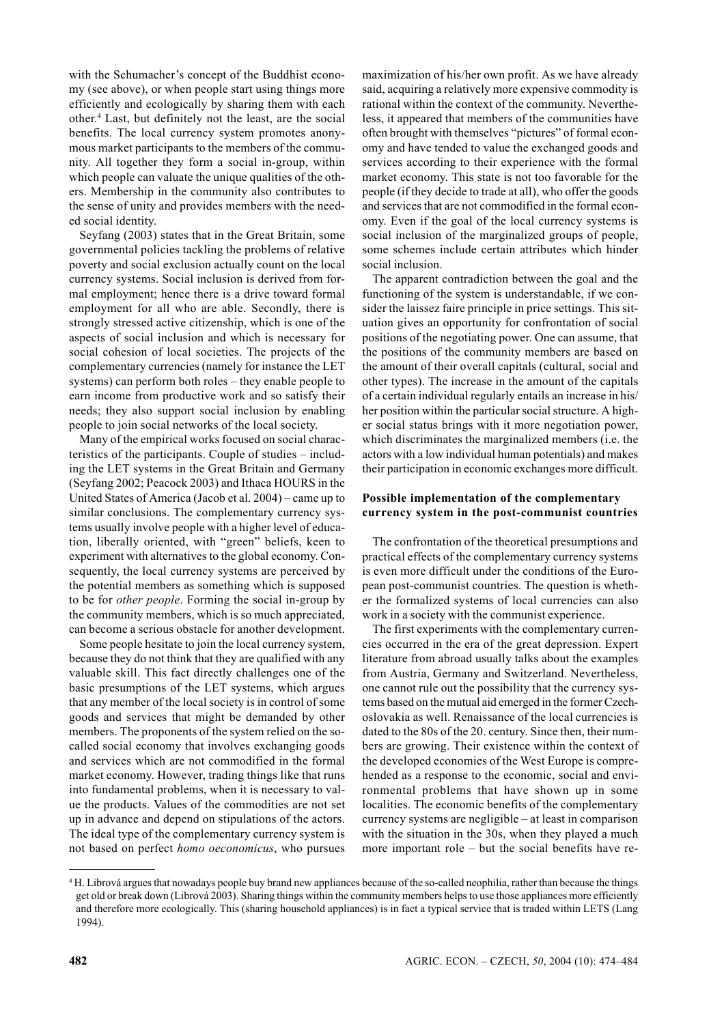with the Schumacher's concept of the Buddhist economy (see above), or when people start using things more efficiently and ecologically by sharing them with each other.4 Last, but definitely not the least, are the social benefits. The local currency system promotes anonymous market participants to the members of the community. All together they form a social in-group, within which people can valuate the unique qualities of the others. Membership in the community also contributes to the sense of unity and provides members with the needed social identity.

Seyfang (2003) states that in the Great Britain, some governmental policies tackling the problems of relative poverty and social exclusion actually count on the local currency systems. Social inclusion is derived from formal employment; hence there is a drive toward formal employment for all who are able. Secondly, there is strongly stressed active citizenship, which is one of the aspects of social inclusion and which is necessary for social cohesion of local societies. The projects of the complementary currencies (namely for instance the LET systems) can perform both roles – they enable people to earn income from productive work and so satisfy their needs; they also support social inclusion by enabling people to join social networks of the local society.

Many of the empirical works focused on social characteristics of the participants. Couple of studies – including the LET systems in the Great Britain and Germany (Seyfang 2002; Peacock 2003) and Ithaca HOURS in the United States of America (Jacob et al. 2004) – came up to similar conclusions. The complementary currency systems usually involve people with a higher level of education, liberally oriented, with "green" beliefs, keen to experiment with alternatives to the global economy. Consequently, the local currency systems are perceived by the potential members as something which is supposed to be for *other people*. Forming the social in-group by the community members, which is so much appreciated, can become a serious obstacle for another development.

Some people hesitate to join the local currency system, because they do not think that they are qualified with any valuable skill. This fact directly challenges one of the basic presumptions of the LET systems, which argues that any member of the local society is in control of some goods and services that might be demanded by other members. The proponents of the system relied on the socalled social economy that involves exchanging goods and services which are not commodified in the formal market economy. However, trading things like that runs into fundamental problems, when it is necessary to value the products. Values of the commodities are not set up in advance and depend on stipulations of the actors. The ideal type of the complementary currency system is not based on perfect *homo oeconomicus*, who pursues maximization of his/her own profit. As we have already said, acquiring a relatively more expensive commodity is rational within the context of the community. Nevertheless, it appeared that members of the communities have often brought with themselves "pictures" of formal economy and have tended to value the exchanged goods and services according to their experience with the formal market economy. This state is not too favorable for the people (if they decide to trade at all), who offer the goods and services that are not commodified in the formal economy. Even if the goal of the local currency systems is social inclusion of the marginalized groups of people, some schemes include certain attributes which hinder social inclusion.

The apparent contradiction between the goal and the functioning of the system is understandable, if we consider the laissez faire principle in price settings. This situation gives an opportunity for confrontation of social positions of the negotiating power. One can assume, that the positions of the community members are based on the amount of their overall capitals (cultural, social and other types). The increase in the amount of the capitals of a certain individual regularly entails an increase in his/ her position within the particular social structure. A higher social status brings with it more negotiation power, which discriminates the marginalized members (i.e. the actors with a low individual human potentials) and makes their participation in economic exchanges more difficult.

# **Possible implementation of the complementary currency system in the post-communist countries**

The confrontation of the theoretical presumptions and practical effects of the complementary currency systems is even more difficult under the conditions of the European post-communist countries. The question is whether the formalized systems of local currencies can also work in a society with the communist experience.

The first experiments with the complementary currencies occurred in the era of the great depression. Expert literature from abroad usually talks about the examples from Austria, Germany and Switzerland. Nevertheless, one cannot rule out the possibility that the currency systems based on the mutual aid emerged in the former Czechoslovakia as well. Renaissance of the local currencies is dated to the 80s of the 20. century. Since then, their numbers are growing. Their existence within the context of the developed economies of the West Europe is comprehended as a response to the economic, social and environmental problems that have shown up in some localities. The economic benefits of the complementary currency systems are negligible – at least in comparison with the situation in the 30s, when they played a much more important role – but the social benefits have re-

<sup>&</sup>lt;sup>4</sup>H. Librová argues that nowadays people buy brand new appliances because of the so-called neophilia, rather than because the things get old or break down (Librová 2003). Sharing things within the community members helps to use those appliances more efficiently and therefore more ecologically. This (sharing household appliances) is in fact a typical service that is traded within LETS (Lang 1994).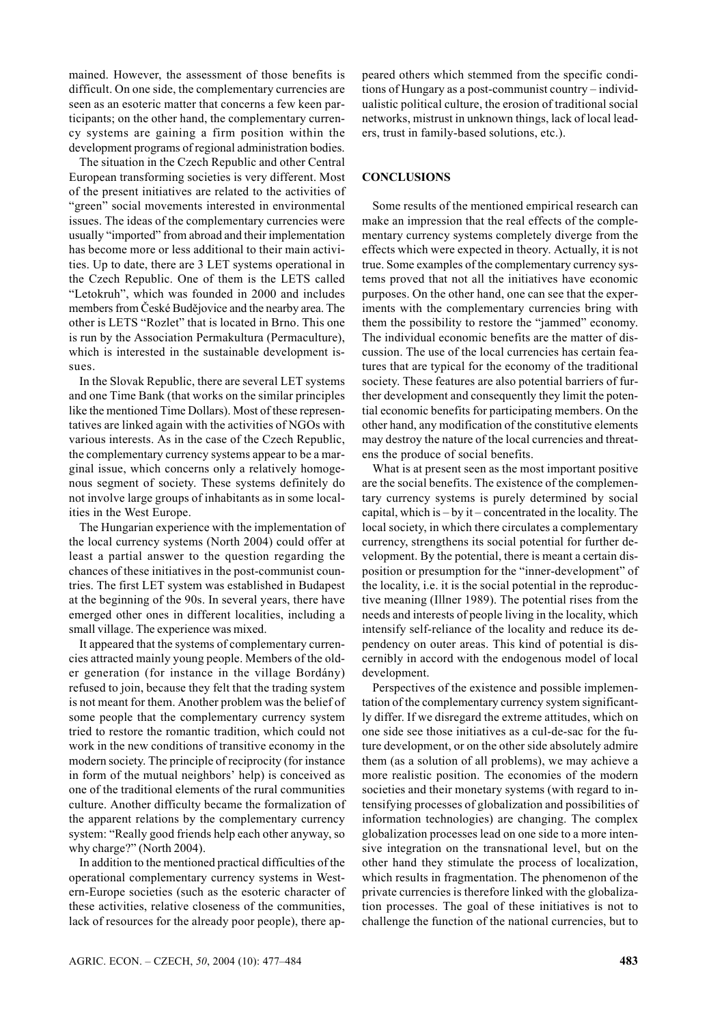mained. However, the assessment of those benefits is difficult. On one side, the complementary currencies are seen as an esoteric matter that concerns a few keen participants; on the other hand, the complementary currency systems are gaining a firm position within the development programs of regional administration bodies.

The situation in the Czech Republic and other Central European transforming societies is very different. Most of the present initiatives are related to the activities of "green" social movements interested in environmental issues. The ideas of the complementary currencies were usually "imported" from abroad and their implementation has become more or less additional to their main activities. Up to date, there are 3 LET systems operational in the Czech Republic. One of them is the LETS called "Letokruh", which was founded in 2000 and includes members from České Budějovice and the nearby area. The other is LETS "Rozlet" that is located in Brno. This one is run by the Association Permakultura (Permaculture), which is interested in the sustainable development issues.

In the Slovak Republic, there are several LET systems and one Time Bank (that works on the similar principles like the mentioned Time Dollars). Most of these representatives are linked again with the activities of NGOs with various interests. As in the case of the Czech Republic, the complementary currency systems appear to be a marginal issue, which concerns only a relatively homogenous segment of society. These systems definitely do not involve large groups of inhabitants as in some localities in the West Europe.

The Hungarian experience with the implementation of the local currency systems (North 2004) could offer at least a partial answer to the question regarding the chances of these initiatives in the post-communist countries. The first LET system was established in Budapest at the beginning of the 90s. In several years, there have emerged other ones in different localities, including a small village. The experience was mixed.

It appeared that the systems of complementary currencies attracted mainly young people. Members of the older generation (for instance in the village Bordány) refused to join, because they felt that the trading system is not meant for them. Another problem was the belief of some people that the complementary currency system tried to restore the romantic tradition, which could not work in the new conditions of transitive economy in the modern society. The principle of reciprocity (for instance in form of the mutual neighbors' help) is conceived as one of the traditional elements of the rural communities culture. Another difficulty became the formalization of the apparent relations by the complementary currency system: "Really good friends help each other anyway, so why charge?" (North 2004).

In addition to the mentioned practical difficulties of the operational complementary currency systems in Western-Europe societies (such as the esoteric character of these activities, relative closeness of the communities, lack of resources for the already poor people), there appeared others which stemmed from the specific conditions of Hungary as a post-communist country – individualistic political culture, the erosion of traditional social networks, mistrust in unknown things, lack of local leaders, trust in family-based solutions, etc.).

#### **CONCLUSIONS**

Some results of the mentioned empirical research can make an impression that the real effects of the complementary currency systems completely diverge from the effects which were expected in theory. Actually, it is not true. Some examples of the complementary currency systems proved that not all the initiatives have economic purposes. On the other hand, one can see that the experiments with the complementary currencies bring with them the possibility to restore the "jammed" economy. The individual economic benefits are the matter of discussion. The use of the local currencies has certain features that are typical for the economy of the traditional society. These features are also potential barriers of further development and consequently they limit the potential economic benefits for participating members. On the other hand, any modification of the constitutive elements may destroy the nature of the local currencies and threatens the produce of social benefits.

What is at present seen as the most important positive are the social benefits. The existence of the complementary currency systems is purely determined by social capital, which is  $-$  by it – concentrated in the locality. The local society, in which there circulates a complementary currency, strengthens its social potential for further development. By the potential, there is meant a certain disposition or presumption for the "inner-development" of the locality, i.e. it is the social potential in the reproductive meaning (Illner 1989). The potential rises from the needs and interests of people living in the locality, which intensify self-reliance of the locality and reduce its dependency on outer areas. This kind of potential is discernibly in accord with the endogenous model of local development.

Perspectives of the existence and possible implementation of the complementary currency system significantly differ. If we disregard the extreme attitudes, which on one side see those initiatives as a cul-de-sac for the future development, or on the other side absolutely admire them (as a solution of all problems), we may achieve a more realistic position. The economies of the modern societies and their monetary systems (with regard to intensifying processes of globalization and possibilities of information technologies) are changing. The complex globalization processes lead on one side to a more intensive integration on the transnational level, but on the other hand they stimulate the process of localization, which results in fragmentation. The phenomenon of the private currencies is therefore linked with the globalization processes. The goal of these initiatives is not to challenge the function of the national currencies, but to